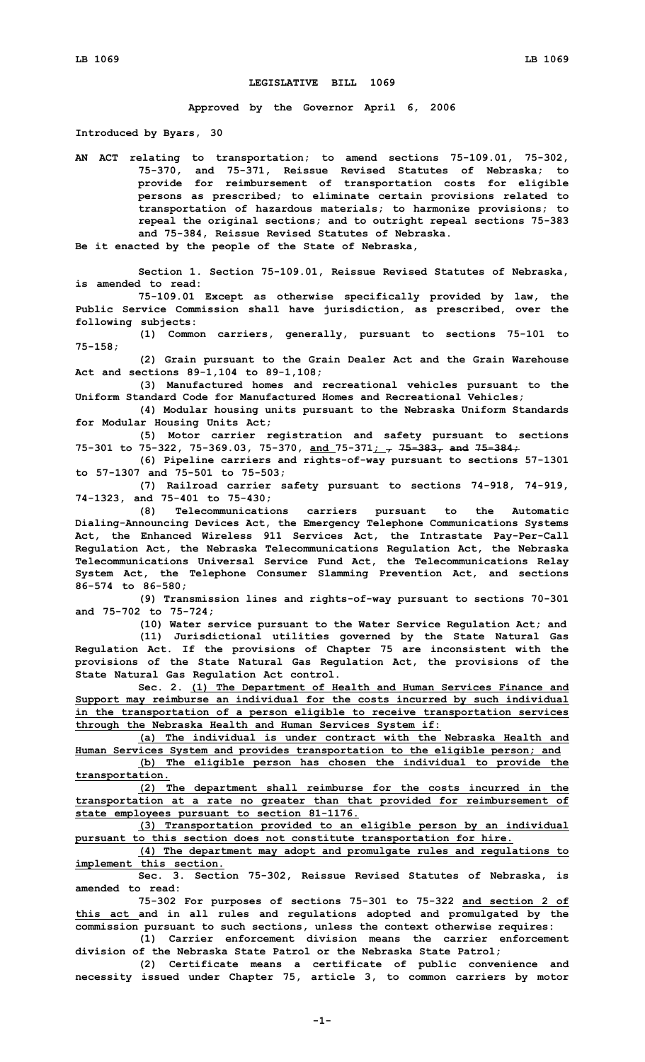## **LEGISLATIVE BILL 1069**

**Approved by the Governor April 6, 2006**

**Introduced by Byars, 30**

**AN ACT relating to transportation; to amend sections 75-109.01, 75-302, 75-370, and 75-371, Reissue Revised Statutes of Nebraska; to provide for reimbursement of transportation costs for eligible persons as prescribed; to eliminate certain provisions related to transportation of hazardous materials; to harmonize provisions; to repeal the original sections; and to outright repeal sections 75-383 and 75-384, Reissue Revised Statutes of Nebraska.**

**Be it enacted by the people of the State of Nebraska,**

**Section 1. Section 75-109.01, Reissue Revised Statutes of Nebraska, is amended to read:**

**75-109.01 Except as otherwise specifically provided by law, the Public Service Commission shall have jurisdiction, as prescribed, over the following subjects:**

**(1) Common carriers, generally, pursuant to sections 75-101 to 75-158;**

**(2) Grain pursuant to the Grain Dealer Act and the Grain Warehouse Act and sections 89-1,104 to 89-1,108;**

**(3) Manufactured homes and recreational vehicles pursuant to the Uniform Standard Code for Manufactured Homes and Recreational Vehicles;**

**(4) Modular housing units pursuant to the Nebraska Uniform Standards for Modular Housing Units Act;**

**(5) Motor carrier registration and safety pursuant to sections 75-301 to 75-322, 75-369.03, 75-370, and 75-371; , 75-383, and 75-384;**

**(6) Pipeline carriers and rights-of-way pursuant to sections 57-1301 to 57-1307 and 75-501 to 75-503;**

**(7) Railroad carrier safety pursuant to sections 74-918, 74-919, 74-1323, and 75-401 to 75-430;**

**(8) Telecommunications carriers pursuant to the Automatic Dialing-Announcing Devices Act, the Emergency Telephone Communications Systems Act, the Enhanced Wireless 911 Services Act, the Intrastate Pay-Per-Call Regulation Act, the Nebraska Telecommunications Regulation Act, the Nebraska Telecommunications Universal Service Fund Act, the Telecommunications Relay System Act, the Telephone Consumer Slamming Prevention Act, and sections 86-574 to 86-580;**

**(9) Transmission lines and rights-of-way pursuant to sections 70-301 and 75-702 to 75-724;**

**(10) Water service pursuant to the Water Service Regulation Act; and (11) Jurisdictional utilities governed by the State Natural Gas Regulation Act. If the provisions of Chapter 75 are inconsistent with the provisions of the State Natural Gas Regulation Act, the provisions of the State Natural Gas Regulation Act control.**

**Sec. 2. (1) The Department of Health and Human Services Finance and Support may reimburse an individual for the costs incurred by such individual in the transportation of <sup>a</sup> person eligible to receive transportation services through the Nebraska Health and Human Services System if:**

**(a) The individual is under contract with the Nebraska Health and Human Services System and provides transportation to the eligible person; and (b) The eligible person has chosen the individual to provide the transportation.**

**(2) The department shall reimburse for the costs incurred in the transportation at <sup>a</sup> rate no greater than that provided for reimbursement of state employees pursuant to section 81-1176.**

**(3) Transportation provided to an eligible person by an individual pursuant to this section does not constitute transportation for hire.**

**(4) The department may adopt and promulgate rules and regulations to implement this section.**

**Sec. 3. Section 75-302, Reissue Revised Statutes of Nebraska, is amended to read:**

**75-302 For purposes of sections 75-301 to 75-322 and section 2 of this act and in all rules and regulations adopted and promulgated by the commission pursuant to such sections, unless the context otherwise requires:**

**(1) Carrier enforcement division means the carrier enforcement division of the Nebraska State Patrol or the Nebraska State Patrol;**

**(2) Certificate means <sup>a</sup> certificate of public convenience and necessity issued under Chapter 75, article 3, to common carriers by motor**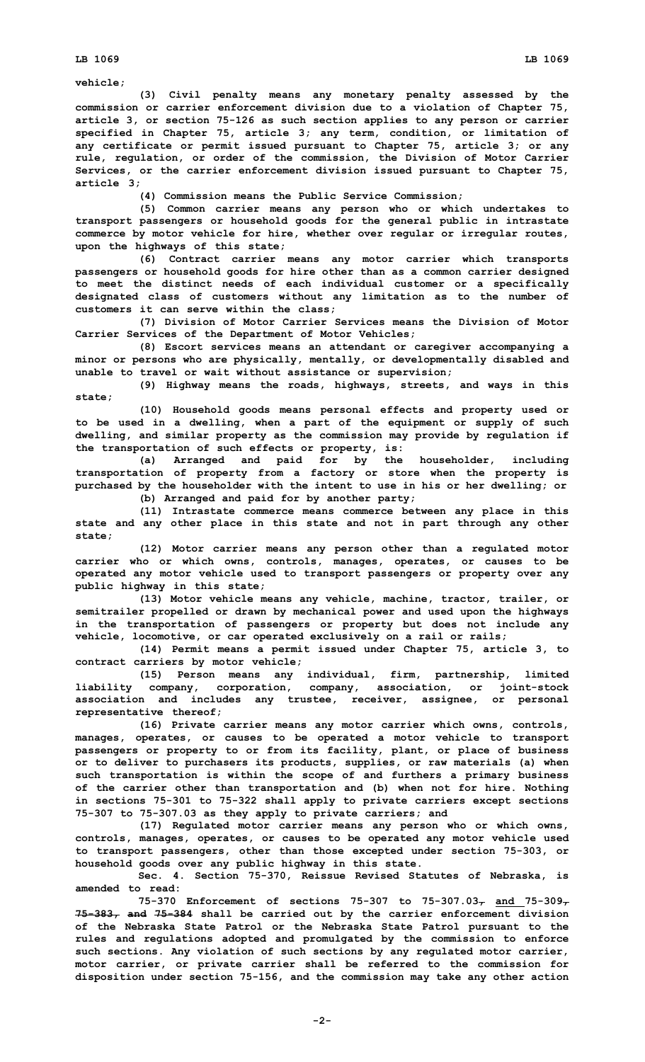**LB 1069 LB 1069**

**vehicle;**

**(3) Civil penalty means any monetary penalty assessed by the commission or carrier enforcement division due to <sup>a</sup> violation of Chapter 75, article 3, or section 75-126 as such section applies to any person or carrier specified in Chapter 75, article 3; any term, condition, or limitation of any certificate or permit issued pursuant to Chapter 75, article 3; or any rule, regulation, or order of the commission, the Division of Motor Carrier Services, or the carrier enforcement division issued pursuant to Chapter 75, article 3;**

**(4) Commission means the Public Service Commission;**

**(5) Common carrier means any person who or which undertakes to transport passengers or household goods for the general public in intrastate commerce by motor vehicle for hire, whether over regular or irregular routes, upon the highways of this state;**

**(6) Contract carrier means any motor carrier which transports passengers or household goods for hire other than as <sup>a</sup> common carrier designed to meet the distinct needs of each individual customer or <sup>a</sup> specifically designated class of customers without any limitation as to the number of customers it can serve within the class;**

**(7) Division of Motor Carrier Services means the Division of Motor Carrier Services of the Department of Motor Vehicles;**

**(8) Escort services means an attendant or caregiver accompanying <sup>a</sup> minor or persons who are physically, mentally, or developmentally disabled and unable to travel or wait without assistance or supervision;**

**(9) Highway means the roads, highways, streets, and ways in this state;**

**(10) Household goods means personal effects and property used or to be used in <sup>a</sup> dwelling, when <sup>a</sup> part of the equipment or supply of such dwelling, and similar property as the commission may provide by regulation if the transportation of such effects or property, is:**

**(a) Arranged and paid for by the householder, including transportation of property from <sup>a</sup> factory or store when the property is purchased by the householder with the intent to use in his or her dwelling; or (b) Arranged and paid for by another party;**

**(11) Intrastate commerce means commerce between any place in this state and any other place in this state and not in part through any other state;**

**(12) Motor carrier means any person other than <sup>a</sup> regulated motor carrier who or which owns, controls, manages, operates, or causes to be operated any motor vehicle used to transport passengers or property over any public highway in this state;**

**(13) Motor vehicle means any vehicle, machine, tractor, trailer, or semitrailer propelled or drawn by mechanical power and used upon the highways in the transportation of passengers or property but does not include any vehicle, locomotive, or car operated exclusively on <sup>a</sup> rail or rails;**

**(14) Permit means <sup>a</sup> permit issued under Chapter 75, article 3, to contract carriers by motor vehicle;**

**(15) Person means any individual, firm, partnership, limited liability company, corporation, company, association, or joint-stock association and includes any trustee, receiver, assignee, or personal representative thereof;**

**(16) Private carrier means any motor carrier which owns, controls, manages, operates, or causes to be operated <sup>a</sup> motor vehicle to transport passengers or property to or from its facility, plant, or place of business or to deliver to purchasers its products, supplies, or raw materials (a) when such transportation is within the scope of and furthers <sup>a</sup> primary business of the carrier other than transportation and (b) when not for hire. Nothing in sections 75-301 to 75-322 shall apply to private carriers except sections 75-307 to 75-307.03 as they apply to private carriers; and**

**(17) Regulated motor carrier means any person who or which owns, controls, manages, operates, or causes to be operated any motor vehicle used to transport passengers, other than those excepted under section 75-303, or household goods over any public highway in this state.**

**Sec. 4. Section 75-370, Reissue Revised Statutes of Nebraska, is amended to read:**

**75-370 Enforcement of sections 75-307 to 75-307.03, and 75-309, 75-383, and 75-384 shall be carried out by the carrier enforcement division of the Nebraska State Patrol or the Nebraska State Patrol pursuant to the rules and regulations adopted and promulgated by the commission to enforce such sections. Any violation of such sections by any regulated motor carrier, motor carrier, or private carrier shall be referred to the commission for disposition under section 75-156, and the commission may take any other action**